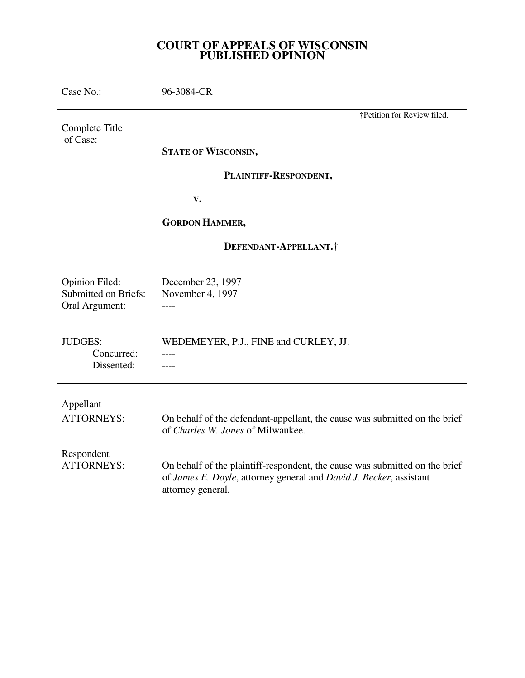## **COURT OF APPEALS OF WISCONSIN PUBLISHED OPINION**

| Case No.:                                                              | 96-3084-CR                                                                                                                                                             |
|------------------------------------------------------------------------|------------------------------------------------------------------------------------------------------------------------------------------------------------------------|
| Complete Title<br>of Case:                                             | †Petition for Review filed.                                                                                                                                            |
|                                                                        | <b>STATE OF WISCONSIN,</b>                                                                                                                                             |
|                                                                        | PLAINTIFF-RESPONDENT,                                                                                                                                                  |
|                                                                        | V.                                                                                                                                                                     |
|                                                                        | <b>GORDON HAMMER,</b>                                                                                                                                                  |
| DEFENDANT-APPELLANT.†                                                  |                                                                                                                                                                        |
| <b>Opinion Filed:</b><br><b>Submitted on Briefs:</b><br>Oral Argument: | December 23, 1997<br>November 4, 1997                                                                                                                                  |
| <b>JUDGES:</b><br>Concurred:<br>Dissented:                             | WEDEMEYER, P.J., FINE and CURLEY, JJ.                                                                                                                                  |
| Appellant<br><b>ATTORNEYS:</b>                                         | On behalf of the defendant-appellant, the cause was submitted on the brief<br>of Charles W. Jones of Milwaukee.                                                        |
| Respondent<br><b>ATTORNEYS:</b>                                        | On behalf of the plaintiff-respondent, the cause was submitted on the brief<br>of James E. Doyle, attorney general and David J. Becker, assistant<br>attorney general. |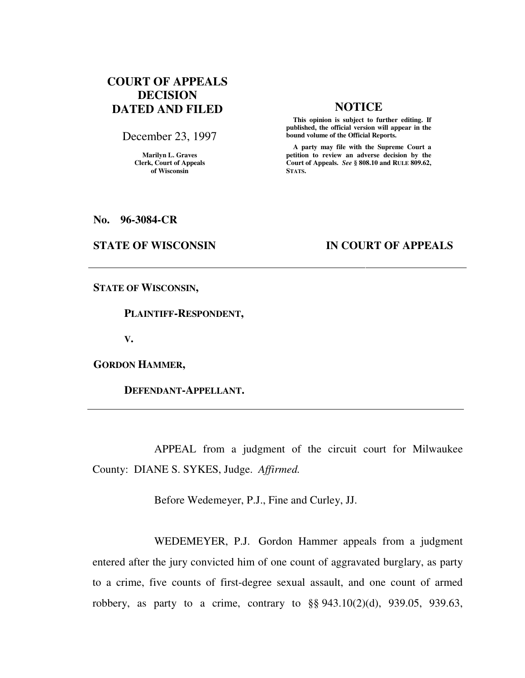# **COURT OF APPEALS DECISION DATED AND FILED NOTICE**

December 23, 1997

**Marilyn L. Graves Clerk, Court of Appeals of Wisconsin** 

 **This opinion is subject to further editing. If published, the official version will appear in the bound volume of the Official Reports.**

 **A party may file with the Supreme Court a petition to review an adverse decision by the Court of Appeals.** *See* **§ 808.10 and RULE 809.62, STATS.** 

**No. 96-3084-CR** 

### **STATE OF WISCONSIN IN COURT OF APPEALS**

**STATE OF WISCONSIN,** 

 **PLAINTIFF-RESPONDENT,** 

**V.** 

**GORDON HAMMER,** 

 **DEFENDANT-APPELLANT.** 

 APPEAL from a judgment of the circuit court for Milwaukee County: DIANE S. SYKES, Judge. *Affirmed.*

Before Wedemeyer, P.J., Fine and Curley, JJ.

 WEDEMEYER, P.J. Gordon Hammer appeals from a judgment entered after the jury convicted him of one count of aggravated burglary, as party to a crime, five counts of first-degree sexual assault, and one count of armed robbery, as party to a crime, contrary to §§ 943.10(2)(d), 939.05, 939.63,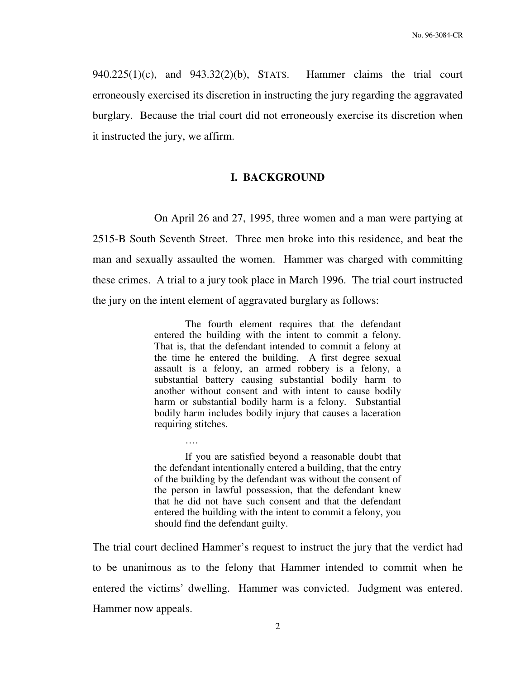$940.225(1)(c)$ , and  $943.32(2)(b)$ , STATS. Hammer claims the trial court erroneously exercised its discretion in instructing the jury regarding the aggravated burglary. Because the trial court did not erroneously exercise its discretion when it instructed the jury, we affirm.

### **I. BACKGROUND**

 On April 26 and 27, 1995, three women and a man were partying at 2515-B South Seventh Street. Three men broke into this residence, and beat the man and sexually assaulted the women. Hammer was charged with committing these crimes. A trial to a jury took place in March 1996. The trial court instructed the jury on the intent element of aggravated burglary as follows:

> The fourth element requires that the defendant entered the building with the intent to commit a felony. That is, that the defendant intended to commit a felony at the time he entered the building. A first degree sexual assault is a felony, an armed robbery is a felony, a substantial battery causing substantial bodily harm to another without consent and with intent to cause bodily harm or substantial bodily harm is a felony. Substantial bodily harm includes bodily injury that causes a laceration requiring stitches.

> If you are satisfied beyond a reasonable doubt that the defendant intentionally entered a building, that the entry of the building by the defendant was without the consent of the person in lawful possession, that the defendant knew that he did not have such consent and that the defendant entered the building with the intent to commit a felony, you should find the defendant guilty.

….

The trial court declined Hammer's request to instruct the jury that the verdict had to be unanimous as to the felony that Hammer intended to commit when he entered the victims' dwelling. Hammer was convicted. Judgment was entered. Hammer now appeals.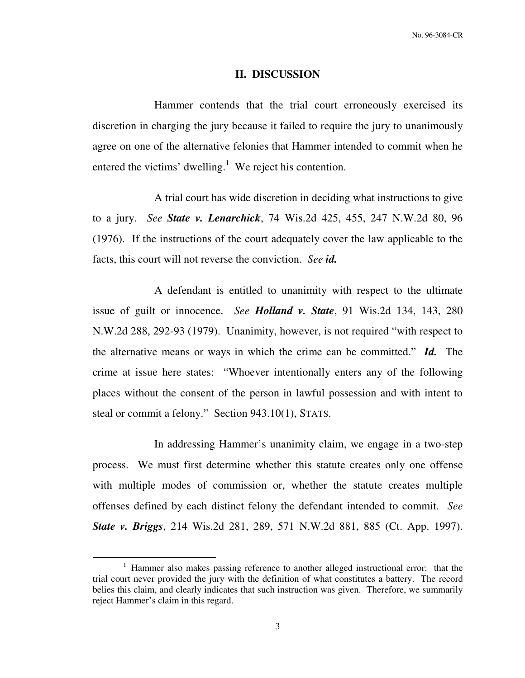### **II. DISCUSSION**

 Hammer contends that the trial court erroneously exercised its discretion in charging the jury because it failed to require the jury to unanimously agree on one of the alternative felonies that Hammer intended to commit when he entered the victims' dwelling.<sup>1</sup> We reject his contention.

 A trial court has wide discretion in deciding what instructions to give to a jury. *See State v. Lenarchick*, 74 Wis.2d 425, 455, 247 N.W.2d 80, 96 (1976). If the instructions of the court adequately cover the law applicable to the facts, this court will not reverse the conviction. *See id.*

 A defendant is entitled to unanimity with respect to the ultimate issue of guilt or innocence. *See Holland v. State*, 91 Wis.2d 134, 143, 280 N.W.2d 288, 292-93 (1979). Unanimity, however, is not required "with respect to the alternative means or ways in which the crime can be committed." *Id.* The crime at issue here states: "Whoever intentionally enters any of the following places without the consent of the person in lawful possession and with intent to steal or commit a felony." Section 943.10(1), STATS.

 In addressing Hammer's unanimity claim, we engage in a two-step process. We must first determine whether this statute creates only one offense with multiple modes of commission or, whether the statute creates multiple offenses defined by each distinct felony the defendant intended to commit. *See State v. Briggs*, 214 Wis.2d 281, 289, 571 N.W.2d 881, 885 (Ct. App. 1997).

 $\overline{a}$ 

<sup>&</sup>lt;sup>1</sup> Hammer also makes passing reference to another alleged instructional error: that the trial court never provided the jury with the definition of what constitutes a battery. The record belies this claim, and clearly indicates that such instruction was given. Therefore, we summarily reject Hammer's claim in this regard.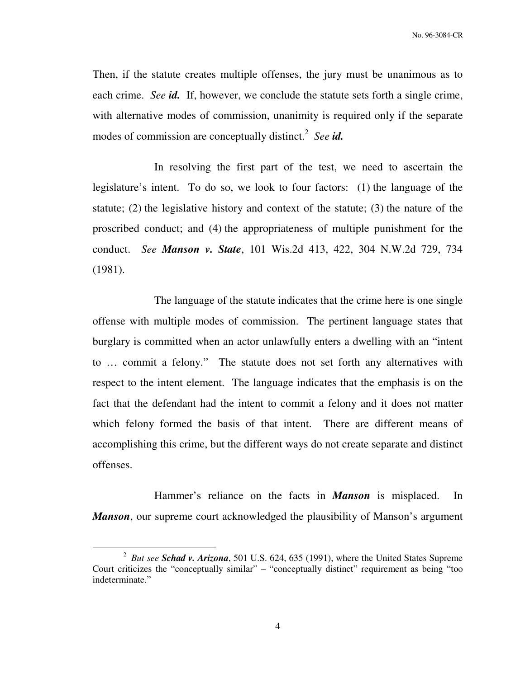Then, if the statute creates multiple offenses, the jury must be unanimous as to each crime. *See id.* If, however, we conclude the statute sets forth a single crime, with alternative modes of commission, unanimity is required only if the separate modes of commission are conceptually distinct.<sup>2</sup> See id.

 In resolving the first part of the test, we need to ascertain the legislature's intent. To do so, we look to four factors: (1) the language of the statute; (2) the legislative history and context of the statute; (3) the nature of the proscribed conduct; and (4) the appropriateness of multiple punishment for the conduct. *See Manson v. State*, 101 Wis.2d 413, 422, 304 N.W.2d 729, 734 (1981).

 The language of the statute indicates that the crime here is one single offense with multiple modes of commission. The pertinent language states that burglary is committed when an actor unlawfully enters a dwelling with an "intent to … commit a felony." The statute does not set forth any alternatives with respect to the intent element. The language indicates that the emphasis is on the fact that the defendant had the intent to commit a felony and it does not matter which felony formed the basis of that intent. There are different means of accomplishing this crime, but the different ways do not create separate and distinct offenses.

 Hammer's reliance on the facts in *Manson* is misplaced. In *Manson*, our supreme court acknowledged the plausibility of Manson's argument

 $\overline{a}$ 

<sup>2</sup> *But see Schad v. Arizona*, 501 U.S. 624, 635 (1991), where the United States Supreme Court criticizes the "conceptually similar" – "conceptually distinct" requirement as being "too indeterminate."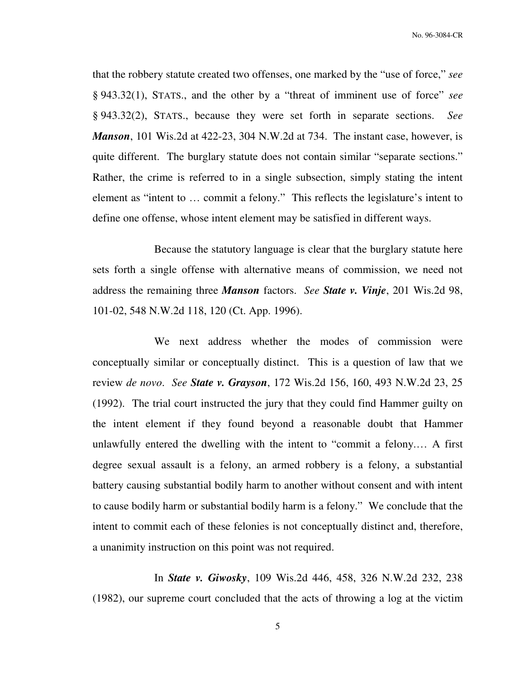No. 96-3084-CR

that the robbery statute created two offenses, one marked by the "use of force," *see*  § 943.32(1), STATS., and the other by a "threat of imminent use of force" *see*  § 943.32(2), STATS., because they were set forth in separate sections. *See Manson*, 101 Wis.2d at 422-23, 304 N.W.2d at 734. The instant case, however, is quite different. The burglary statute does not contain similar "separate sections." Rather, the crime is referred to in a single subsection, simply stating the intent element as "intent to … commit a felony." This reflects the legislature's intent to define one offense, whose intent element may be satisfied in different ways.

 Because the statutory language is clear that the burglary statute here sets forth a single offense with alternative means of commission, we need not address the remaining three *Manson* factors. *See State v. Vinje*, 201 Wis.2d 98, 101-02, 548 N.W.2d 118, 120 (Ct. App. 1996).

 We next address whether the modes of commission were conceptually similar or conceptually distinct. This is a question of law that we review *de novo*. *See State v. Grayson*, 172 Wis.2d 156, 160, 493 N.W.2d 23, 25 (1992). The trial court instructed the jury that they could find Hammer guilty on the intent element if they found beyond a reasonable doubt that Hammer unlawfully entered the dwelling with the intent to "commit a felony.… A first degree sexual assault is a felony, an armed robbery is a felony, a substantial battery causing substantial bodily harm to another without consent and with intent to cause bodily harm or substantial bodily harm is a felony." We conclude that the intent to commit each of these felonies is not conceptually distinct and, therefore, a unanimity instruction on this point was not required.

 In *State v. Giwosky*, 109 Wis.2d 446, 458, 326 N.W.2d 232, 238 (1982), our supreme court concluded that the acts of throwing a log at the victim